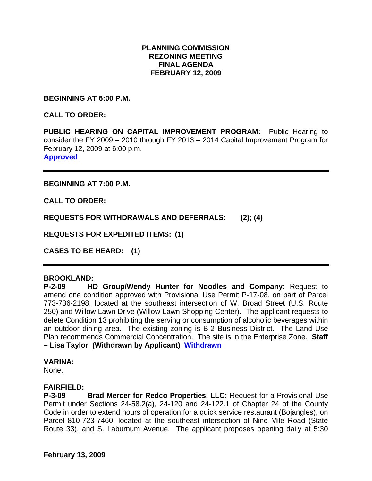# **PLANNING COMMISSION REZONING MEETING FINAL AGENDA FEBRUARY 12, 2009**

**BEGINNING AT 6:00 P.M.** 

**CALL TO ORDER:** 

**PUBLIC HEARING ON CAPITAL IMPROVEMENT PROGRAM:** Public Hearing to consider the FY 2009 – 2010 through FY 2013 – 2014 Capital Improvement Program for February 12, 2009 at 6:00 p.m. **Approved** 

**BEGINNING AT 7:00 P.M.** 

**CALL TO ORDER:** 

**REQUESTS FOR WITHDRAWALS AND DEFERRALS: (2); (4)** 

**REQUESTS FOR EXPEDITED ITEMS: (1)** 

**CASES TO BE HEARD: (1)** 

#### **BROOKLAND:**

**P-2-09 HD Group/Wendy Hunter for Noodles and Company:** Request to amend one condition approved with Provisional Use Permit P-17-08, on part of Parcel 773-736-2198, located at the southeast intersection of W. Broad Street (U.S. Route 250) and Willow Lawn Drive (Willow Lawn Shopping Center). The applicant requests to delete Condition 13 prohibiting the serving or consumption of alcoholic beverages within an outdoor dining area. The existing zoning is B-2 Business District. The Land Use Plan recommends Commercial Concentration. The site is in the Enterprise Zone. **Staff – Lisa Taylor (Withdrawn by Applicant) Withdrawn** 

#### **VARINA:**

None.

#### **FAIRFIELD:**

**P-3-09 Brad Mercer for Redco Properties, LLC:** Request for a Provisional Use Permit under Sections 24-58.2(a), 24-120 and 24-122.1 of Chapter 24 of the County Code in order to extend hours of operation for a quick service restaurant (Bojangles), on Parcel 810-723-7460, located at the southeast intersection of Nine Mile Road (State Route 33), and S. Laburnum Avenue. The applicant proposes opening daily at 5:30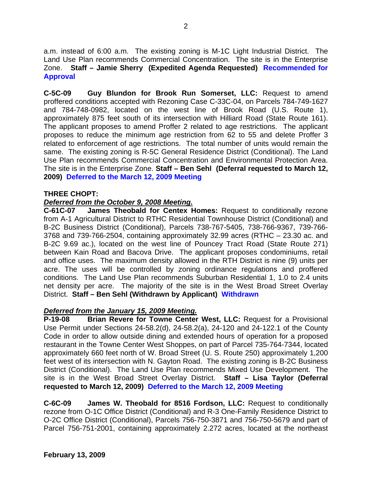a.m. instead of 6:00 a.m. The existing zoning is M-1C Light Industrial District. The Land Use Plan recommends Commercial Concentration. The site is in the Enterprise Zone. **Staff – Jamie Sherry (Expedited Agenda Requested) Recommended for Approval** 

**C-5C-09 Guy Blundon for Brook Run Somerset, LLC:** Request to amend proffered conditions accepted with Rezoning Case C-33C-04, on Parcels 784-749-1627 and 784-748-0982, located on the west line of Brook Road (U.S. Route 1), approximately 875 feet south of its intersection with Hilliard Road (State Route 161). The applicant proposes to amend Proffer 2 related to age restrictions. The applicant proposes to reduce the minimum age restriction from 62 to 55 and delete Proffer 3 related to enforcement of age restrictions. The total number of units would remain the same. The existing zoning is R-5C General Residence District (Conditional). The Land Use Plan recommends Commercial Concentration and Environmental Protection Area. The site is in the Enterprise Zone. **Staff – Ben Sehl (Deferral requested to March 12, 2009) Deferred to the March 12, 2009 Meeting** 

## **THREE CHOPT:**

## *Deferred from the October 9, 2008 Meeting.*

**C-61C-07 James Theobald for Centex Homes:** Request to conditionally rezone from A-1 Agricultural District to RTHC Residential Townhouse District (Conditional) and B-2C Business District (Conditional), Parcels 738-767-5405, 738-766-9367, 739-766- 3768 and 739-766-2504, containing approximately 32.99 acres (RTHC – 23.30 ac. and B-2C 9.69 ac.), located on the west line of Pouncey Tract Road (State Route 271) between Kain Road and Bacova Drive. The applicant proposes condominiums, retail and office uses. The maximum density allowed in the RTH District is nine (9) units per acre. The uses will be controlled by zoning ordinance regulations and proffered conditions. The Land Use Plan recommends Suburban Residential 1, 1.0 to 2.4 units net density per acre. The majority of the site is in the West Broad Street Overlay District. **Staff – Ben Sehl (Withdrawn by Applicant) Withdrawn** 

# *Deferred from the January 15, 2009 Meeting.*

**P-19-08 Brian Revere for Towne Center West, LLC:** Request for a Provisional Use Permit under Sections 24-58.2(d), 24-58.2(a), 24-120 and 24-122.1 of the County Code in order to allow outside dining and extended hours of operation for a proposed restaurant in the Towne Center West Shoppes, on part of Parcel 735-764-7344, located approximately 660 feet north of W. Broad Street (U. S. Route 250) approximately 1,200 feet west of its intersection with N. Gayton Road. The existing zoning is B-2C Business District (Conditional). The Land Use Plan recommends Mixed Use Development. The site is in the West Broad Street Overlay District. **Staff – Lisa Taylor (Deferral requested to March 12, 2009) Deferred to the March 12, 2009 Meeting** 

**C-6C-09 James W. Theobald for 8516 Fordson, LLC:** Request to conditionally rezone from O-1C Office District (Conditional) and R-3 One-Family Residence District to O-2C Office District (Conditional), Parcels 756-750-3871 and 756-750-5679 and part of Parcel 756-751-2001, containing approximately 2.272 acres, located at the northeast